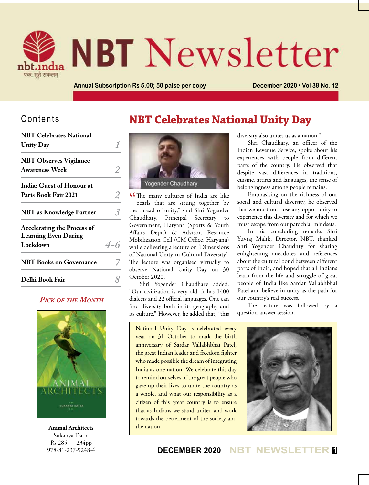

# **NBT** Newsletter

**Annual Subscription Rs 5.00; 50 paise per copy December 2020 • Vol 38 No. 12**

# Contents

| <b>NBT Celebrates National</b>                                    |     |
|-------------------------------------------------------------------|-----|
| <b>Unity Day</b>                                                  |     |
| <b>NBT Observes Vigilance</b>                                     |     |
| <b>Awareness Week</b>                                             |     |
| India: Guest of Honour at                                         |     |
| Paris Book Fair 2021                                              |     |
| <b>NBT</b> as Knowledge Partner                                   |     |
| <b>Accelerating the Process of</b><br><b>Learning Even During</b> |     |
| Lockdown                                                          | 4-6 |
| <b>NBT</b> Books on Governance                                    |     |
| Delhi Book Fair                                                   |     |
|                                                                   |     |

## *Pick of the Month*



**Animal Architects** Sukanya Datta Rs 285 234pp 978-81-237-9248-4

# **NBT Celebrates National Unity Day**



**C**The many cultures of India are like<br>pearls that are strung together by pearls that are strung together by the thread of unity," said Shri Yogender Chaudhary, Principal Secretary to Government, Haryana (Sports & Youth Affairs Dept.) & Advisor, Resource Mobilization Cell (CM Office, Haryana) while delivering a lecture on 'Dimensions of National Unity in Cultural Diversity'. The lecture was organised virtually to observe National Unity Day on 30 October 2020.

Shri Yogender Chaudhary added, "Our civilization is very old. It has 1400 dialects and 22 official languages. One can find diversity both in its geography and its culture." However, he added that, "this

National Unity Day is celebrated every year on 31 October to mark the birth anniversary of Sardar Vallabhbhai Patel, the great Indian leader and freedom fighter who made possible the dream of integrating India as one nation. We celebrate this day to remind ourselves of the great people who gave up their lives to unite the country as a whole, and what our responsibility as a citizen of this great country is to ensure that as Indians we stand united and work towards the betterment of the society and the nation.



**DECEMBER 2020 NBT NEWSLETTER <sup>1</sup>**

diversity also unites us as a nation."

Shri Chaudhary, an officer of the Indian Revenue Service, spoke about his experiences with people from different parts of the country. He observed that despite vast differences in traditions, cuisine, attires and languages, the sense of belongingness among people remains.

Emphasising on the richness of our social and cultural diversity, he observed that we must not lose any opportunity to experience this diversity and for which we must escape from our parochial mindsets.

In his concluding remarks Shri Yuvraj Malik, Director, NBT, thanked Shri Yogender Chaudhry for sharing enlightening anecdotes and references about the cultural bond between different parts of India, and hoped that all Indians learn from the life and struggle of great people of India like Sardar Vallabhbhai Patel and believe in unity as the path for our country's real success.

The lecture was followed by a question-answer session.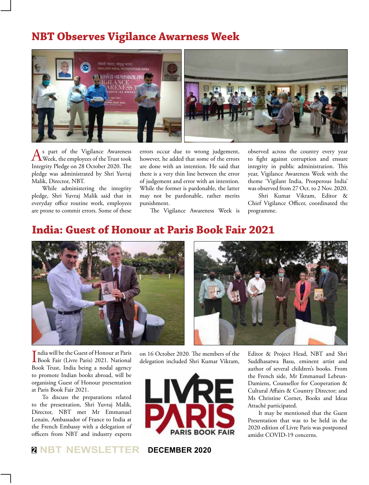# **NBT Observes Vigilance Awarness Week**



 $\bigwedge^{\text{spart}}$  of the Vigilance Awareness<br>Week, the employees of the Trust took Integrity Pledge on 28 October 2020. The pledge was administrated by Shri Yuvraj Malik, Director, NBT.

While administering the integrity pledge, Shri Yuvraj Malik said that in everyday office routine work, employees are prone to commit errors. Some of these errors occur due to wrong judgement, however, he added that some of the errors are done with an intention. He said that there is a very thin line between the error of judgement and error with an intention. While the former is pardonable, the latter may not be pardonable, rather merits punishment.

The Vigilance Awareness Week is

observed across the country every year to fight against corruption and ensure integrity in public administration. This year, Vigilance Awareness Week with the theme 'Vigilant India, Prosperous India' was observed from 27 Oct. to 2 Nov. 2020.

Shri Kumar Vikram, Editor & Chief Vigilance Officer, coordinated the programme.

# **India: Guest of Honour at Paris Book Fair 2021**



India will be the Guest of Honour at Paris<br>Book Fair (Livre Paris) 2021. National Book Fair (Livre Paris) 2021. National Book Trust, India being a nodal agency to promote Indian books abroad, will be organising Guest of Honour presentation at Paris Book Fair 2021.

To discuss the preparations related to the presentation, Shri Yuvraj Malik, Director, NBT met Mr Emmanuel Lenain, Ambassador of France to India at the French Embassy with a delegation of officers from NBT and industry experts on 16 October 2020. The members of the delegation included Shri Kumar Vikram,



**<sup>2</sup> NBT NEWSLETTER DECEMBER 2020**

Editor & Project Head, NBT and Shri Suddhasatwa Basu, eminent artist and author of several children's books. From the French side, Mr Emmanuel Lebrun-Damiens, Counsellor for Cooperation & Cultural Affairs & Country Director; and Ms Christine Cornet, Books and Ideas Attaché participated.

It may be mentioned that the Guest Presentation that was to be held in the 2020 edition of Livre Paris was postponed amidst COVID-19 concerns.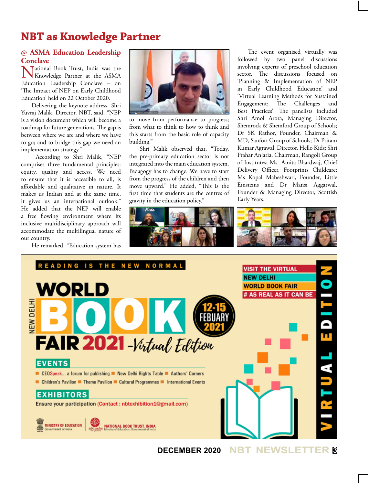# **NBT as Knowledge Partner**

## **@ ASMA Education Leadership Conclave**

Mational Book Trust, India was the Knowledge Partner at the ASMA Education Leadership Conclave – on 'The Impact of NEP on Early Childhood Education' held on 22 October 2020.

Delivering the keynote address, Shri Yuvraj Malik, Director, NBT, said, "NEP is a vision document which will become a roadmap for future generations. The gap is between where we are and where we have to go; and to bridge this gap we need an implementation strategy."

 According to Shri Malik, "NEP comprises three fundamental principles: equity, quality and access. We need to ensure that it is accessible to all, is affordable and qualitative in nature. It makes us Indian and at the same time, it gives us an international outlook." He added that the NEP will enable a free flowing environment where its inclusive multidisciplinary approach will accommodate the multilingual nature of our country.

He remarked, "Education system has



to move from performance to progress; from what to think to how to think and this starts from the basic role of capacity building."

Shri Malik observed that, "Today, the pre-primary education sector is not integrated into the main education system. Pedagogy has to change. We have to start from the progress of the children and then move upward." He added, "This is the first time that students are the centres of gravity in the education policy."

The event organised virtually was followed by two panel discussions involving experts of preschool education sector. The discussions focused on 'Planning & Implementation of NEP in Early Childhood Education' and 'Virtual Learning Methods for Sustained Engagement: The Challenges and Best Practices'. The panelists included Shri Amol Arora, Managing Director, Shemrock & Shemford Group of Schools; Dr SK Rathor, Founder, Chairman & MD, Sanfort Group of Schools; Dr Pritam Kumar Agrawal, Director, Hello Kids; Shri Prahar Anjaria, Chairman, Rangoli Group of Institutes; Ms Amita Bhardwaj, Chief Delivery Officer, Footprints Childcare; Ms Kopal Maheshwari, Founder, Little Einsteins and Dr Mansi Aggarwal, Founder & Managing Director, Scottish Early Years.





**DECEMBER 2020 NBT NEWSLETTER <sup>3</sup>**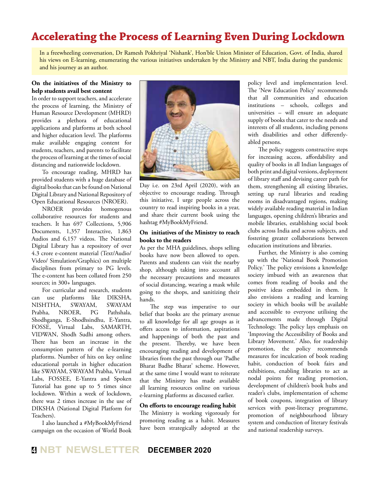# **Accelerating the Process of Learning Even During Lockdown**

In a freewheeling conversation, Dr Ramesh Pokhriyal 'Nishank', Hon'ble Union Minister of Education, Govt. of India, shared his views on E-learning, enumerating the various initiatives undertaken by the Ministry and NBT, India during the pandemic and his journey as an author.

## **On the initiatives of the Ministry to help students avail best content**

In order to support teachers, and accelerate the process of learning, the Ministry of Human Resource Development (MHRD) provides a plethora of educational applications and platforms at both school and higher education level. The platforms make available engaging content for students, teachers, and parents to facilitate the process of learning at the times of social distancing and nationwide lockdown.

To encourage reading, MHRD has provided students with a huge database of digital books that can be found on National Digital Library and National Repository of

Open Educational Resources (NROER).<br>NROER provides homogenous NROER provides homogenous collaborative resources for students and teachers. It has 697 Collections, 5,906 Documents, 1,357 Interactive, 1,863 Audios and 6,157 videos. The National Digital Library has a repository of over 4.3 crore e-content material (Text/Audio/ Video/ Simulation/Graphics) on multiple disciplines from primary to PG levels. The e-content has been collated from 250 sources; in 300+ languages.

For curricular and research, students can use platforms like DIKSHA, NISHTHA, SWAYAM, SWAYAM Prabha, NROER, PG Pathshala, Shodhganga, E-Shodhsindhu, E-Yantra, FOSSE, Virtual Labs, SAMARTH, VIDWAN, Shodh Sudhi among others. There has been an increase in the consumption pattern of the e-learning platforms. Number of hits on key online educational portals in higher education like SWAYAM, SWAYAM Prabha, Virtual Labs, FOSSEE, E-Yantra and Spoken Tutorial has gone up to 5 times since lockdown. Within a week of lockdown, there was 2 times increase in the use of DIKSHA (National Digital Platform for Teachers).

I also launched a #MyBookMyFriend campaign on the occasion of World Book



Day i.e. on 23rd April (2020), with an objective to encourage reading. Through this initiative, I urge people across the country to read inspiring books in a year, and share their current book using the hashtag #MyBookMyFriend.

#### **On initiatives of the Ministry to reach books to the readers**

As per the MHA guidelines, shops selling books have now been allowed to open. Parents and students can visit the nearby shop, although taking into account all the necessary precautions and measures of social distancing, wearing a mask while going to the shops, and sanitizing their hands.

The step was imperative to our belief that books are the primary avenue to all knowledge for all age groups as it offers access to information, aspirations and happenings of both the past and the present. Thereby, we have been encouraging reading and development of libraries from the past through our 'Padhe Bharat Badhe Bharat' scheme. However, at the same time I would want to reiterate that the Ministry has made available all learning resources online on various e-learning platforms as discussed earlier.

#### **On efforts to encourage reading habit**

The Ministry is working vigorously for promoting reading as a habit. Measures have been strategically adopted at the

policy level and implementation level. The 'New Education Policy' recommends that all communities and education institutions – schools, colleges and universities – will ensure an adequate supply of books that cater to the needs and interests of all students, including persons with disabilities and other differentlyabled persons.

The policy suggests constructive steps for increasing access, affordability and quality of books in all Indian languages of both print and digital versions, deployment of library staff and devising career path for them, strengthening all existing libraries, setting up rural libraries and reading rooms in disadvantaged regions, making widely available reading material in Indian languages, opening children's libraries and mobile libraries, establishing social book clubs across India and across subjects, and fostering greater collaborations between education institutions and libraries.

Further, the Ministry is also coming up with the 'National Book Promotion Policy.' The policy envisions a knowledge society imbued with an awareness that comes from reading of books and the positive ideas embedded in them. It also envisions a reading and learning society in which books will be available and accessible to everyone utilising the advancements made through Digital Technology. The policy lays emphasis on 'Improving the Accessibility of Books and Library Movement.' Also, for readership promotion, the policy recommends measures for inculcation of book reading habit, conduction of book fairs and exhibitions, enabling libraries to act as nodal points for reading promotion, development of children's book hubs and reader's clubs, implementation of scheme of book coupons, integration of library services with post-literacy programme, promotion of neighbourhood library system and conduction of literary festivals and national readership surveys.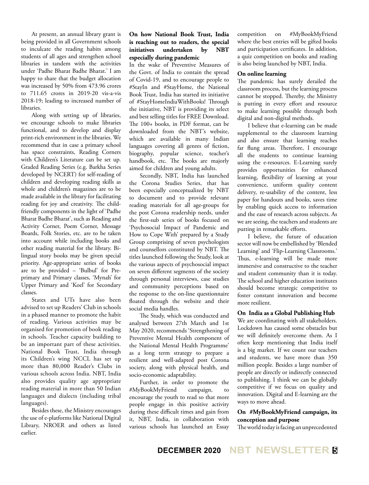At present, an annual library grant is being provided in all Government schools to inculcate the reading habits among students of all ages and strengthen school libraries in tandem with the activities under 'Padhe Bharat Badhe Bharat.' I am happy to share that the budget allocation was increased by 50% from 473.96 crores to 711.65 crores in 2019-20 vis-a-vis 2018-19; leading to increased number of libraries.

Along with setting up of libraries, we encourage schools to make libraries functional, and to develop and display print-rich environment in the libraries. We recommend that in case a primary school has space constraints, Reading Corners with Children's Literature can be set up. Graded Reading Series (e.g. Barkha Series developed by NCERT) for self-reading of children and developing reading skills as whole and children's magazines are to be made available in the library for facilitating reading for joy and creativity. The childfriendly components in the light of 'Padhe Bharat Badhe Bharat', such as Reading and Activity Corner, Poem Corner, Message Boards, Folk Stories, etc. are to be taken into account while including books and other reading material for the library. Bilingual story books may be given special priority. Age-appropriate series of books are to be provided – 'Bulbul' for Preprimary and Primary classes, 'Mynah' for Upper Primary and 'Koel' for Secondary classes.

States and UTs have also been advised to set up Readers' Club in schools in a phased manner to promote the habit of reading. Various activities may be organised for promotion of book reading in schools. Teacher capacity building to be an important part of these activities. National Book Trust, India through its Children's wing NCCL has set up more than 80,000 Reader's Clubs in various schools across India. NBT, India also provides quality age appropriate reading material in more than 50 Indian languages and dialects (including tribal languages).

Besides these, the Ministry encourages the use of e-platforms like National Digital Library, NROER and others as listed earlier.

## **On how National Book Trust, India is reaching out to readers, the special initiatives undertaken by NBT especially during pandemic**

In the wake of Preventive Measures of the Govt. of India to contain the spread of Covid-19, and to encourage people to #StayIn and #StayHome, the National Book Trust, India has started its initiative of #StayHomeIndiaWithBooks! Through the initiative, NBT is providing its select and best selling titles for FREE Download. The 100+ books, in PDF format, can be downloaded from the NBT's website, which are available in many Indian languages covering all genres of fiction, biography, popular science, teacher's handbook, etc. The books are majorly aimed for children and young adults.

Secondly, NBT, India has launched the Corona Studies Series, that has been especially conceptualized by NBT to document and to provide relevant reading materials for all age-groups for the post Corona readership needs, under the first-sub series of books focused on 'Psychosocial Impact of Pandemic and How to Cope With' prepared by a Study Group comprising of seven psychologists and counsellors constituted by NBT. The titles launched following the Study, look at the various aspects of psychosocial impact on seven different segments of the society through personal interviews, case studies and community perceptions based on the response to the on-line questionnaire floated through the website and their social media handles.

The Study, which was conducted and analysed between 27th March and 1st May 2020, recommends 'Strengthening of Preventive Mental Health component of the National Mental Health Programme' as a long term strategy to prepare a resilient and well-adapted post Corona society, along with physical health, and socio-economic adaptability.

Further, in order to promote the #MyBookMyFriend campaign, to encourage the youth to read so that more people engage in this positive activity during these difficult times and gain from it, NBT, India, in collaboration with various schools has launched an Essay

competition on #MyBookMyFriend where the best entries will be gifted books and participation certificates. In addition, a quiz competition on books and reading is also being launched by NBT, India.

#### **On online learning**

The pandemic has surely derailed the classroom process, but the learning process cannot be stopped. Thereby, the Ministry is putting in every effort and resource to make learning possible through both digital and non-digital methods.

I believe that e-learning can be made supplemental to the classroom learning and also ensure that learning reaches far flung areas. Therefore, I encourage all the students to continue learning using the e-resources. E-Learning surely provides opportunities for enhanced learning, flexibility of learning at your convenience, uniform quality content delivery, re-usability of the content, less paper for handouts and books, saves time by enabling quick access to information and the ease of research across subjects. As we are seeing, the teachers and students are putting in remarkable efforts.

I believe, the future of education sector will now be embellished by 'Blended Learning' and 'Flip-Learning Classrooms.' Thus, e-learning will be made more immersive and constructive to the teacher and student community than it is today. The school and higher education institutes should become strategic competitive to foster constant innovation and become more resilient.

## **On India as a Global Publishing Hub**

We are coordinating with all stakeholders. Lockdown has caused some obstacles but we will definitely overcome them. As I often keep mentioning that India itself is a big market. If we count our teachers and students, we have more than 350 million people. Besides a large number of people are directly or indirectly connected to publishing. I think we can be globally competitive if we focus on quality and innovation. Digital and E-learning are the ways to move ahead.

#### **On #MyBookMyFriend campaign, its conception and purpose**

The world today is facing an unprecedented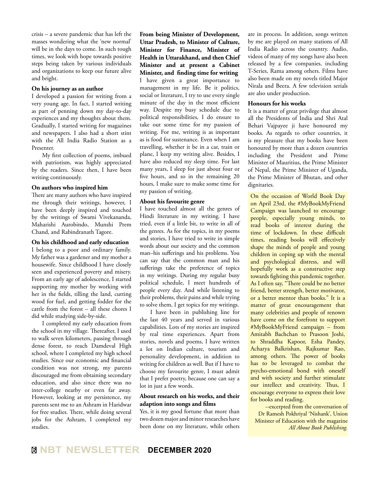crisis – a severe pandemic that has left the masses wondering what the 'new normal' will be in the days to come. In such tough times, we look with hope towards positive steps being taken by various individuals and organizations to keep our future alive and bright.

#### **On his journey as an author**

I developed a passion for writing from a very young age. In fact, I started writing as part of penning down my day-to-day experiences and my thoughts about them. Gradually, I started writing for magazines and newspapers. I also had a short stint with the All India Radio Station as a Presenter.

My first collection of poems, imbued with patriotism, was highly appreciated by the readers. Since then, I have been writing continuously.

#### **On authors who inspired him**

There are many authors who have inspired me through their writings, however, I have been deeply inspired and touched by the writings of Swami Vivekananda, Maharishi Aurobindo, Munshi Prem Chand, and Rabindranath Tagore.

#### **On his childhood and early education**

I belong to a poor and ordinary family. My father was a gardener and my mother a housewife. Since childhood I have closely seen and experienced poverty and misery. From an early age of adolescence, I started supporting my mother by working with her in the fields, tilling the land, cutting wood for fuel, and getting fodder for the cattle from the forest – all these chores I did while studying side-by-side.

I completed my early education from the school in my village. Thereafter, I used to walk seven kilometers, passing through dense forest, to reach Damdeval High school, where I completed my high school studies. Since our economic and financial condition was not strong, my parents discouraged me from obtaining secondary education, and also since there was no inter-college nearby or even far away. However, looking at my persistence, my parents sent me to an Ashram in Haridwar for free studies. There, while doing several jobs for the Ashram, I completed my studies.

**From being Minister of Development, Uttar Pradesh, to Minister of Culture, Minister for Finance, Minister of Health in Uttarakhand, and then Chief Minister and at present a Cabinet Minister, and finding time for writing** I have given a great importance to management in my life. Be it politics, social or literature, I try to use every single minute of the day in the most efficient way. Despite my busy schedule due to political responsibilities, I do ensure to take out some time for my passion of writing. For me, writing is as important as is food for sustenance. Even when I am travelling, whether it be in a car, train or plane, I keep my writing alive. Besides, I have also reduced my sleep time. For last many years, I sleep for just about four or five hours, and so in the remaining 20 hours, I make sure to make some time for my passion of writing.

#### **About his favourite genre**

I have touched almost all the genres of Hindi literature in my writing. I have tried, even if a little bit, to write in all of the genres. As for the topics, in my poems and stories, I have tried to write in simple words about our society and the common man–his sufferings and his problems. You can say that the common man and his sufferings take the preference of topics in my writings. During my regular busy political schedule, I meet hundreds of people every day. And while listening to their problems, their pains and while trying to solve them, I get topics for my writings.

I have been in publishing line for the last 40 years and served in various capabilities. Lots of my stories are inspired by real time experiences. Apart from stories, novels and poems, I have written a lot on Indian culture, tourism and personality development, in addition to writing for children as well. But if I have to choose my favourite genre, I must admit that I prefer poetry, because one can say a lot in just a few words.

#### **About research on his works, and their adaption into songs and films**

Yes, it is my good fortune that more than two dozen major and minor researches have been done on my literature, while others are in process. In addition, songs written by me are played on many stations of All India Radio across the country. Audio, videos of many of my songs have also been released by a few companies, including T-Series, Rama among others. Films have also been made on my novels titled Major Nirala and Beera. A few television serials are also under production.

#### **Honours for his works**

It is a matter of great privilege that almost all the Presidents of India and Shri Atal Behari Vajpayee ji have honoured my books. As regards to other countries, it is my pleasure that my books have been honoured by more than a dozen countries including the President and Prime Minister of Mauritius, the Prime Minister of Nepal, the Prime Minister of Uganda, the Prime Minister of Bhutan, and other dignitaries.

On the occasion of World Book Day on April 23rd, the #MyBookMyFriend Campaign was launched to encourage people, especially young minds, to read books of interest during the time of lockdown. In these difficult times, reading books will effectively shape the minds of people and young children in coping up with the mental and psychological distress, and will hopefully work as a constructive step towards fighting this pandemic together. As I often say, "There could be no better friend, better strength, better motivator, or a better mentor than books." It is a matter of great encouragement that many celebrities and people of renown have come on the forefront to support #MyBookMyFriend campaign – from Amitabh Bachchan to Prasoon Joshi, to Shraddha Kapoor, Esha Pandey, Acharya Balkrishan, Rajkumar Rao, among others. The power of books has to be leveraged to combat the psycho-emotional bond with oneself and with society and further stimulate our intellect and creativity. Thus, I encourage everyone to express their love for books and reading.

--excerpted from the conversation of Dr Ramesh Pokhriyal 'Nishank', Union Minister of Education with the magazine *All About Book Publishing.*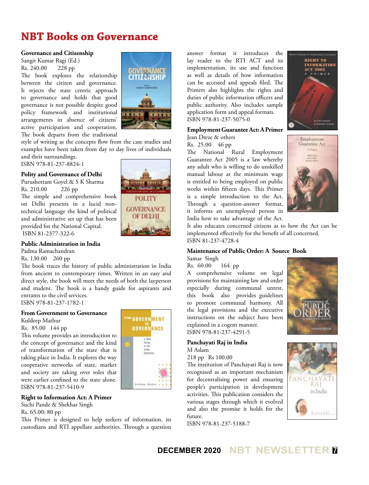# **NBT Books on Governance**

#### **Governance and Citizenship**

Sangit Kumar Ragi (Ed.) Rs. 240.00 228 pp

The book explores the relationship between the citizen and governance. It rejects the state centric approach to governance and holds that good governance is not possible despite good policy framework and institutional arrangements in absence of citizens' active participation and cooperation. The book departs from the traditional



**POLITY GOVERNANCE** OF DELHI

style of writing as the concepts flow from the case studies and examples have been taken from day to day lives of individuals and their surroundings.

ISBN 978-81-237-8824-1

## **Polity and Governance of Delhi**

Purushottam Goyel & S K Sharma Rs. 210.00 226 pp

The simple and comprehensive book on Delhi presents in a lucid nontechnical language the kind of political and administrative set up that has been provided for the National Capital. ISBN 81-2377-322-6

## **Public Administration in India**

Padma Ramachandran

Rs. 130.00 260 pp

The book traces the history of public administration in India from ancient to contemporary times. Written in an easy and direct style, the book will meet the needs of both the layperson and student. The book is a handy guide for aspirants and entrants to the civil services. ISBN 978-81-237-1782-1

## **From Government to Governance**

Kuldeep Mathur Rs. 85.00 144 pp

This volume provides an introduction to the concept of governance and the kind of transformation of the state that is taking place in India. It explores the way cooperative networks of state, market and society are taking over roles that were earlier confined to the state alone. ISBN 978-81-237-5410-9

## **Right to Information Act: A Primer**

Suchi Pande & Shekhar Singh

Rs. 65.00; 80 pp

This Primer is designed to help seekers of information, its custodians and RTI appellate authorities. Through a question

**GOVERNMENT GOVERNANCE** Eclinea Mather.

answer format it introduces the lay reader to the RTI ACT and its implementation, its use and function as well as details of how information can be accessed and appeals filed. The Primers also highlights the rights and duties of public information officers and public authority. Also includes sample application form and appeal formats. ISBN 978-81-237-5075-0

## **Employment Guarantee Act: A Primer**

Jean Dreze & others

Rs. 25.00 46 pp

The National Rural Employment Guarantee Act 2005 is a law whereby any adult who is willing to do unskilled manual labour at the minimum wage is entitled to being employed on public works within fifteen days. This Primer is a simple introduction to the Act. Through a question-answer format, it informs an unemployed person in India how to take advantage of the Act.





It also educates concerned citizens as to how the Act can be implemented effectively for the benefit of all concerned. ISBN 81-237-4728-4

#### **Maintenance of Public Order: A Source Book** Samar Singh

Rs. 60.00 164 pp

A comprehensive volume on legal provisions for maintaining law and order especially during communal unrest, this book also provides guidelines to promote communal harmony. All the legal provisions and the executive instructions on the subject have been explained in a cogent manner. ISBN 978-81-237-4291-5

**Panchayati Raj in India** M Aslam

218 pp Rs 100.00

The institution of Panchayati Raj is now recognised as an important mechanism for decentralising power and ensuring people's participation in development activities. This publication considers the various stages through which it evolved and also the promise it holds for the future.

ISBN 978-81-237-5188-7